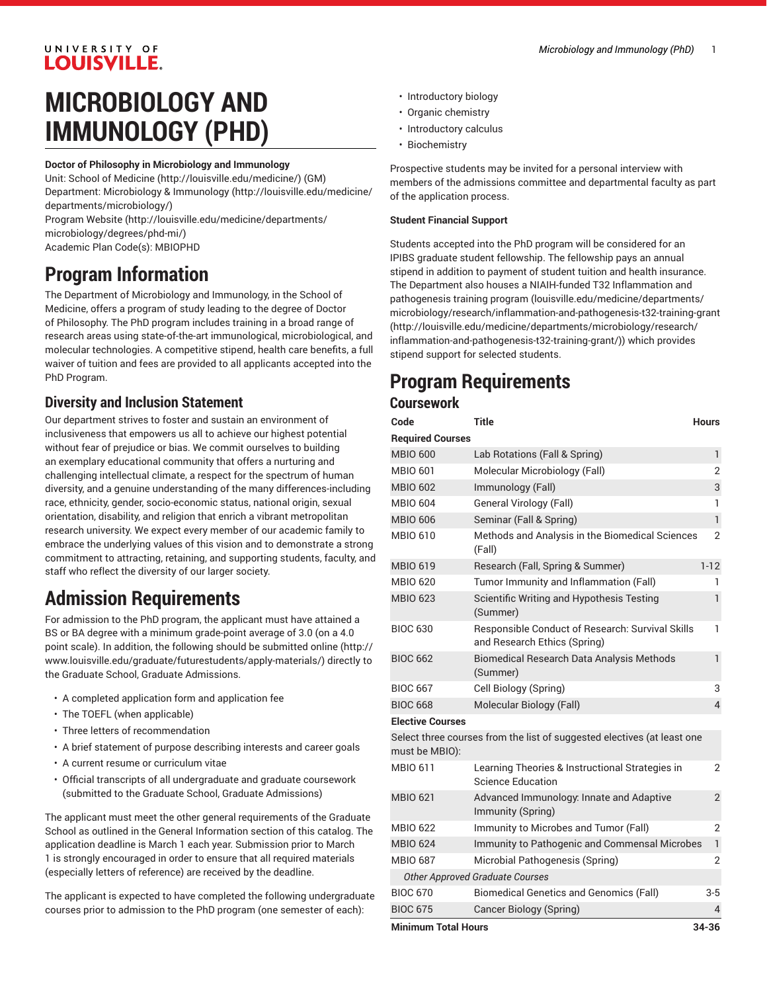# UNIVERSITY OF LOUISVILLE.

# **MICROBIOLOGY AND IMMUNOLOGY (PHD)**

#### **Doctor of Philosophy in Microbiology and Immunology**

Unit: [School of Medicine \(http://louisville.edu/medicine/\)](http://louisville.edu/medicine/) (GM) Department: [Microbiology](http://louisville.edu/medicine/departments/microbiology/) & Immunology ([http://louisville.edu/medicine/](http://louisville.edu/medicine/departments/microbiology/) [departments/microbiology/](http://louisville.edu/medicine/departments/microbiology/))

[Program](http://louisville.edu/medicine/departments/microbiology/degrees/phd-mi/) Website [\(http://louisville.edu/medicine/departments/](http://louisville.edu/medicine/departments/microbiology/degrees/phd-mi/) [microbiology/degrees/phd-mi/](http://louisville.edu/medicine/departments/microbiology/degrees/phd-mi/))

Academic Plan Code(s): MBIOPHD

# **Program Information**

The Department of Microbiology and Immunology, in the School of Medicine, offers a program of study leading to the degree of Doctor of Philosophy. The PhD program includes training in a broad range of research areas using state-of-the-art immunological, microbiological, and molecular technologies. A competitive stipend, health care benefits, a full waiver of tuition and fees are provided to all applicants accepted into the PhD Program.

# **Diversity and Inclusion Statement**

Our department strives to foster and sustain an environment of inclusiveness that empowers us all to achieve our highest potential without fear of prejudice or bias. We commit ourselves to building an exemplary educational community that offers a nurturing and challenging intellectual climate, a respect for the spectrum of human diversity, and a genuine understanding of the many differences-including race, ethnicity, gender, socio-economic status, national origin, sexual orientation, disability, and religion that enrich a vibrant metropolitan research university. We expect every member of our academic family to embrace the underlying values of this vision and to demonstrate a strong commitment to attracting, retaining, and supporting students, faculty, and staff who reflect the diversity of our larger society.

# **Admission Requirements**

For admission to the PhD program, the applicant must have attained a BS or BA degree with a minimum grade-point average of 3.0 (on a 4.0 point scale). In addition, the following should be [submitted online](http://www.louisville.edu/graduate/futurestudents/apply-materials/) ([http://](http://www.louisville.edu/graduate/futurestudents/apply-materials/) [www.louisville.edu/graduate/futurestudents/apply-materials/\)](http://www.louisville.edu/graduate/futurestudents/apply-materials/) directly to the Graduate School, Graduate Admissions.

- A completed application form and application fee
- The TOEFL (when applicable)
- Three letters of recommendation
- A brief statement of purpose describing interests and career goals
- A current resume or curriculum vitae
- Official transcripts of all undergraduate and graduate coursework (submitted to the Graduate School, Graduate Admissions)

The applicant must meet the other general requirements of the Graduate School as outlined in the General Information section of this catalog. The application deadline is March 1 each year. Submission prior to March 1 is strongly encouraged in order to ensure that all required materials (especially letters of reference) are received by the deadline.

The applicant is expected to have completed the following undergraduate courses prior to admission to the PhD program (one semester of each):

- Introductory biology
- Organic chemistry
- Introductory calculus
- Biochemistry

Prospective students may be invited for a personal interview with members of the admissions committee and departmental faculty as part of the application process.

#### **Student Financial Support**

Students accepted into the PhD program will be considered for an IPIBS graduate student fellowship. The fellowship pays an annual stipend in addition to payment of student tuition and health insurance. The Department also houses a NIAIH-funded T32 Inflammation and pathogenesis training program ([louisville.edu/medicine/departments/](http://louisville.edu/medicine/departments/microbiology/research/inflammation-and-pathogenesis-t32-training-grant/) [microbiology/research/inflammation-and-pathogenesis-t32-training-grant](http://louisville.edu/medicine/departments/microbiology/research/inflammation-and-pathogenesis-t32-training-grant/) [\(http://louisville.edu/medicine/departments/microbiology/research/](http://louisville.edu/medicine/departments/microbiology/research/inflammation-and-pathogenesis-t32-training-grant/) [inflammation-and-pathogenesis-t32-training-grant/](http://louisville.edu/medicine/departments/microbiology/research/inflammation-and-pathogenesis-t32-training-grant/))) which provides stipend support for selected students.

# **Program Requirements**

### **Coursework**

| Code                                | <b>Title</b>                                                                     | <b>Hours</b>   |
|-------------------------------------|----------------------------------------------------------------------------------|----------------|
| <b>Required Courses</b>             |                                                                                  |                |
| <b>MBIO 600</b>                     | Lab Rotations (Fall & Spring)                                                    | 1              |
| <b>MBIO 601</b>                     | Molecular Microbiology (Fall)                                                    | $\overline{2}$ |
| <b>MBIO 602</b>                     | Immunology (Fall)                                                                | 3              |
| <b>MBIO 604</b>                     | General Virology (Fall)                                                          | 1              |
| <b>MBIO 606</b>                     | Seminar (Fall & Spring)                                                          | $\mathbf{1}$   |
| <b>MBIO 610</b>                     | Methods and Analysis in the Biomedical Sciences<br>(Fall)                        | $\overline{2}$ |
| <b>MBIO 619</b>                     | Research (Fall, Spring & Summer)                                                 | $1 - 12$       |
| <b>MBIO 620</b>                     | Tumor Immunity and Inflammation (Fall)                                           | 1              |
| <b>MBIO 623</b>                     | Scientific Writing and Hypothesis Testing<br>(Summer)                            | 1              |
| <b>BIOC 630</b>                     | Responsible Conduct of Research: Survival Skills<br>and Research Ethics (Spring) | 1              |
| <b>BIOC 662</b>                     | <b>Biomedical Research Data Analysis Methods</b><br>(Summer)                     | 1              |
| <b>BIOC 667</b>                     | Cell Biology (Spring)                                                            | 3              |
| <b>BIOC 668</b>                     | Molecular Biology (Fall)                                                         | $\overline{4}$ |
| <b>Elective Courses</b>             |                                                                                  |                |
| must be MBIO):                      | Select three courses from the list of suggested electives (at least one          |                |
| <b>MBIO 611</b>                     | Learning Theories & Instructional Strategies in<br><b>Science Education</b>      | 2              |
| <b>MBIO 621</b>                     | Advanced Immunology: Innate and Adaptive<br>Immunity (Spring)                    | $\overline{2}$ |
| <b>MBIO 622</b>                     | Immunity to Microbes and Tumor (Fall)                                            | $\overline{2}$ |
| <b>MBIO 624</b>                     | Immunity to Pathogenic and Commensal Microbes                                    | $\mathbf{1}$   |
| <b>MBIO 687</b>                     | Microbial Pathogenesis (Spring)                                                  | $\overline{2}$ |
|                                     | <b>Other Approved Graduate Courses</b>                                           |                |
| <b>BIOC 670</b>                     | <b>Biomedical Genetics and Genomics (Fall)</b>                                   | 3-5            |
| <b>BIOC 675</b>                     | Cancer Biology (Spring)                                                          | 4              |
| <b>Minimum Total Hours</b><br>34-36 |                                                                                  |                |